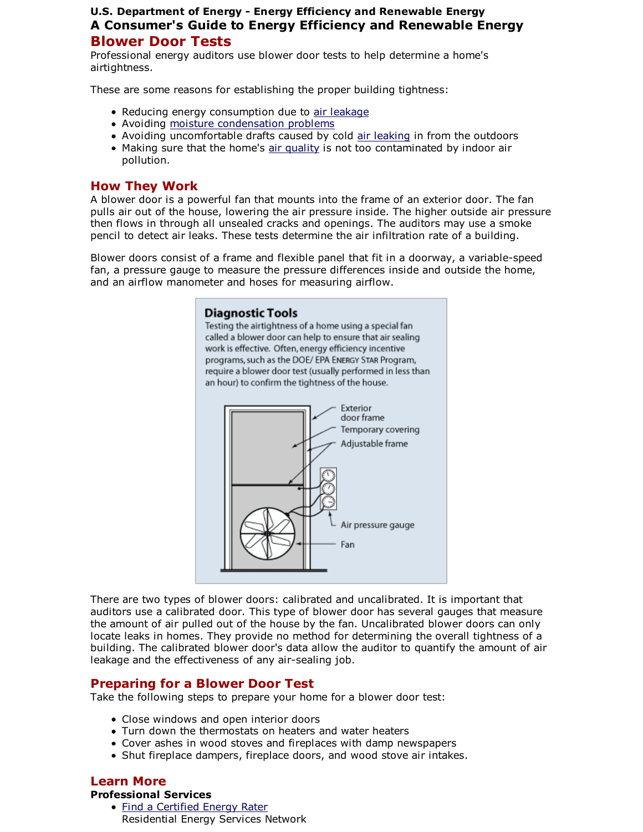## U.S. Department of Energy - Energy Efficiency and Renewable Energy A Consumer's Guide to Energy Efficiency and Renewable Energy Blower Door Tests

Professional energy auditors use blower door tests to help determine a home's airtightness.

These are some reasons for establishing the proper building tightness:

- Reducing energy consumption due to air leakage
- Avoiding moisture condensation problems
- Avoiding uncomfortable drafts caused by cold air leaking in from the outdoors
- Making sure that the home's air quality is not too contaminated by indoor air pollution.

## How They Work

A blower door is a powerful fan that mounts into the frame of an exterior door. The fan pulls air out of the house, lowering the air pressure inside. The higher outside air pressure then flows in through all unsealed cracks and openings. The auditors may use a smoke pencil to detect air leaks. These tests determine the air infiltration rate of a building.

Blower doors consist of a frame and flexible panel that fit in a doorway, a variable-speed fan, a pressure gauge to measure the pressure differences inside and outside the home, and an airflow manometer and hoses for measuring airflow.

# **Diagnostic Tools** Testing the airtightness of a home using a special fan called a blower door can help to ensure that air sealing work is effective. Often, energy efficiency incentive programs, such as the DOE/ EPA ENERGY STAR Program, require a blower door test (usually performed in less than an hour) to confirm the tightness of the house. Exterior door frame Temporary covering Adjustable frame Air pressure gauge Fan

There are two types of blower doors: calibrated and uncalibrated. It is important that auditors use a calibrated door. This type of blower door has several gauges that measure the amount of air pulled out of the house by the fan. Uncalibrated blower doors can only locate leaks in homes. They provide no method for determining the overall tightness of a building. The calibrated blower door's data allow the auditor to quantify the amount of air leakage and the effectiveness of any air-sealing job.

## Preparing for a Blower Door Test

Take the following steps to prepare your home for a blower door test:

- Close windows and open interior doors
- Turn down the thermostats on heaters and water heaters
- Cover ashes in wood stoves and fireplaces with damp newspapers
- Shut fireplace dampers, fireplace doors, and wood stove air intakes.

# Learn More

### Professional Services

• Find a Certified Energy Rater Residential Energy Services Network